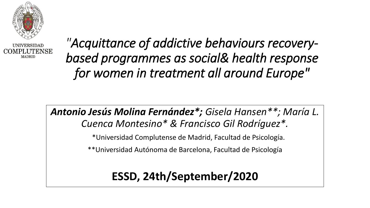

**IJNIVERSIDAD** COMPLUTENSE **MADRID** 

*"Acquittance of addictive behaviours recoverybased programmes as social& health response for women in treatment all around Europe"*

*Antonio Jesús Molina Fernández\*; Gisela Hansen\*\*; María L. Cuenca Montesino\* & Francisco Gil Rodríguez\*.*

\*Universidad Complutense de Madrid, Facultad de Psicología.

\*\*Universidad Autónoma de Barcelona, Facultad de Psicología

**ESSD, 24th/September/2020**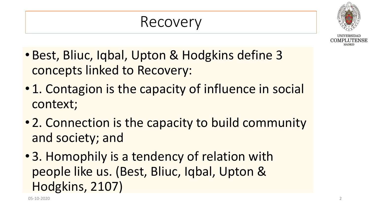#### Recovery



- Best, Bliuc, Iqbal, Upton & Hodgkins define 3 concepts linked to Recovery:
- 1. Contagion is the capacity of influence in social context;
- 2. Connection is the capacity to build community and society; and
- 3. Homophily is a tendency of relation with people like us. (Best, Bliuc, Iqbal, Upton & Hodgkins, 2107)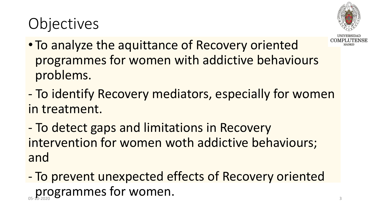# **Objectives**



- To analyze the aquittance of Recovery oriented programmes for women with addictive behaviours problems.
- To identify Recovery mediators, especially for women in treatment.
- To detect gaps and limitations in Recovery intervention for women woth addictive behaviours; and
- To prevent unexpected effects of Recovery oriented programmes for women.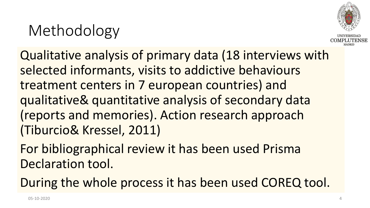### Methodology



Qualitative analysis of primary data (18 interviews with selected informants, visits to addictive behaviours treatment centers in 7 european countries) and qualitative& quantitative analysis of secondary data (reports and memories). Action research approach (Tiburcio& Kressel, 2011)

For bibliographical review it has been used Prisma Declaration tool.

During the whole process it has been used COREQ tool.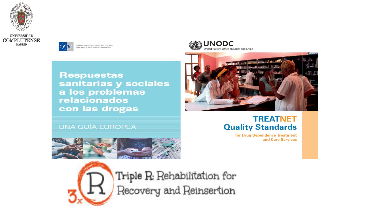



Observatorio Europeo de las rogas y las Toxicomanías







#### **UNA GUÍA EUROPEA**

#### **TREATNET Quality Standards**

for Drug Dependence Treatment and Care Services





Triple R: Rehabilitation for Recovery and Reinsertion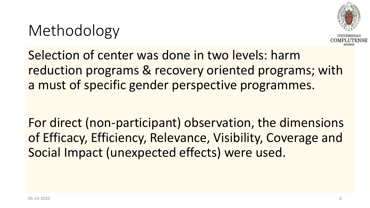### Methodology



Selection of center was done in two levels: harm reduction programs & recovery oriented programs; with a must of specific gender perspective programmes.

For direct (non-participant) observation, the dimensions of Efficacy, Efficiency, Relevance, Visibility, Coverage and Social Impact (unexpected effects) were used.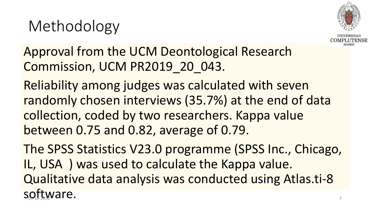# Methodology



Approval from the UCM Deontological Research Commission, UCM PR2019\_20\_043.

Reliability among judges was calculated with seven randomly chosen interviews (35.7%) at the end of data collection, coded by two researchers. Kappa value between 0.75 and 0.82, average of 0.79.

The SPSS Statistics V23.0 programme (SPSS Inc., Chicago, IL, USA ) was used to calculate the Kappa value. Qualitative data analysis was conducted using Atlas.ti-8 software.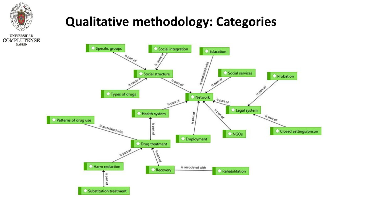

**MADRID** 

**Qualitative methodology: Categories**

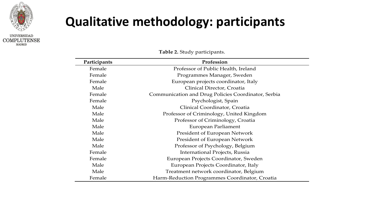

#### **Qualitative methodology: participants**

| Participants | Profession                                          |
|--------------|-----------------------------------------------------|
| Female       | Professor of Public Health, Ireland                 |
| Female       | Programmes Manager, Sweden                          |
| Female       | European projects coordinator, Italy                |
| Male         | Clinical Director, Croatia                          |
| Female       | Communication and Drug Policies Coordinator, Serbia |
| Female       | Psychologist, Spain                                 |
| Male         | Clinical Coordinator, Croatia                       |
| Male         | Professor of Criminology, United Kingdom            |
| Male         | Professor of Criminology, Croatia                   |
| Male         | European Parliament                                 |
| Male         | <b>President of European Network</b>                |
| Male         | <b>President of European Network</b>                |
| Male         | Professor of Psychology, Belgium                    |
| Female       | International Projects, Russia                      |
| Female       | European Projects Coordinator, Sweden               |
| Male         | European Projects Coordinator, Italy                |
| Male         | Treatment network coordinator, Belgium              |
| Female       | Harm-Reduction Programmes Coordinator, Croatia      |

**Table 2.** Study participants.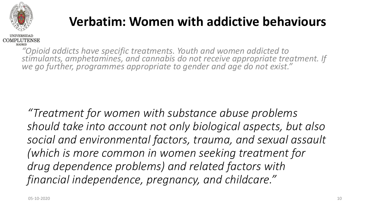

#### **Verbatim: Women with addictive behaviours**



*"Opioid addicts have specific treatments. Youth and women addicted to stimulants, amphetamines, and cannabis do not receive appropriate treatment. If we go further, programmes appropriate to gender and age do not exist."*

*"Treatment for women with substance abuse problems should take into account not only biological aspects, but also social and environmental factors, trauma, and sexual assault (which is more common in women seeking treatment for drug dependence problems) and related factors with financial independence, pregnancy, and childcare."*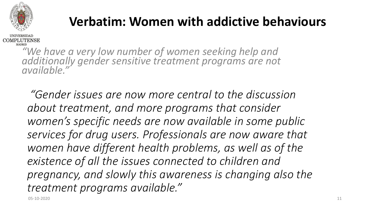

#### **Verbatim: Women with addictive behaviours**

**MADRID** *"We have a very low number of women seeking help and additionally gender sensitive treatment programs are not available."* 

*"Gender issues are now more central to the discussion about treatment, and more programs that consider women's specific needs are now available in some public services for drug users. Professionals are now aware that women have different health problems, as well as of the existence of all the issues connected to children and pregnancy, and slowly this awareness is changing also the treatment programs available."*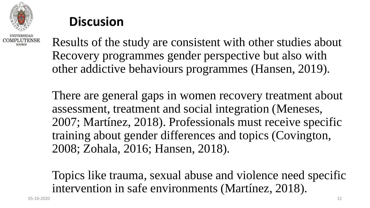

#### **Discusion**

Results of the study are consistent with other studies about Recovery programmes gender perspective but also with other addictive behaviours programmes (Hansen, 2019).

There are general gaps in women recovery treatment about assessment, treatment and social integration (Meneses, 2007; Martínez, 2018). Professionals must receive specific training about gender differences and topics (Covington, 2008; Zohala, 2016; Hansen, 2018).

Topics like trauma, sexual abuse and violence need specific intervention in safe environments (Martínez, 2018).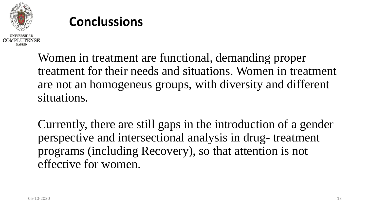

#### **Conclussions**

Women in treatment are functional, demanding proper treatment for their needs and situations. Women in treatment are not an homogeneus groups, with diversity and different situations.

Currently, there are still gaps in the introduction of a gender perspective and intersectional analysis in drug- treatment programs (including Recovery), so that attention is not effective for women.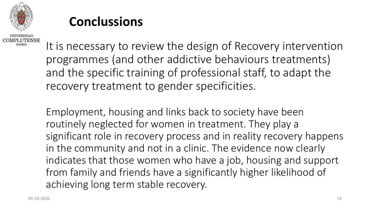

#### **Conclussions**

COMPLUTENSE MADRID

It is necessary to review the design of Recovery intervention programmes (and other addictive behaviours treatments) and the specific training of professional staff, to adapt the recovery treatment to gender specificities.

Employment, housing and links back to society have been routinely neglected for women in treatment. They play a significant role in recovery process and in reality recovery happens in the community and not in a clinic. The evidence now clearly indicates that those women who have a job, housing and support from family and friends have a significantly higher likelihood of achieving long term stable recovery.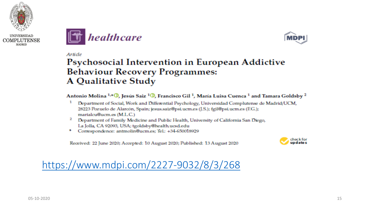







Article

#### Psychosocial Intervention in European Addictive **Behaviour Recovery Programmes: A Qualitative Study**

Antonio Molina <sup>1,4</sup> (D. Jesús Saiz <sup>1</sup> (D. Francisco Gil<sup>1</sup>, María Luisa Cuenca <sup>1</sup> and Tamara Goldsby <sup>2</sup>

- Department of Social, Work and Differential Psychology, Universidad Complutense de Madrid/UCM, 28223 Pozuelo de Alarcón, Spain; jesus.saiz@psi.ucm.es (J.S.); fgil@psi.ucm.es (EG.); marialcu@ucm.es (M.L.C.)
- 2. Department of Family Medicine and Public Health, University of California San Diego, La Jolla, CA 92093, USA; tgoldsby@health.ucsd.edu
- Correspondence: antmolin@ucm.es; Tel.: +34-650018929

Received: 22 June 2020; Accepted: 10 August 2020; Published: 13 August 2020



<https://www.mdpi.com/2227-9032/8/3/268>